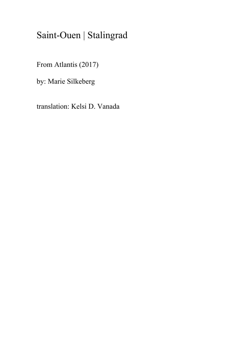## Saint-Ouen | Stalingrad

From Atlantis (2017)

by: Marie Silkeberg

translation: Kelsi D. Vanada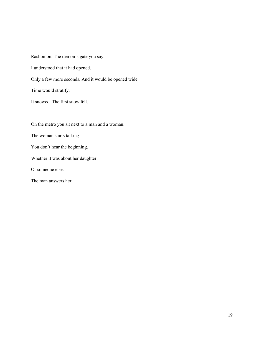Rashomon. The demon's gate you say.

I understood that it had opened.

Only a few more seconds. And it would be opened wide.

Time would stratify.

It snowed. The first snow fell.

On the metro you sit next to a man and a woman.

The woman starts talking.

You don't hear the beginning.

Whether it was about her daughter.

Or someone else.

The man answers her.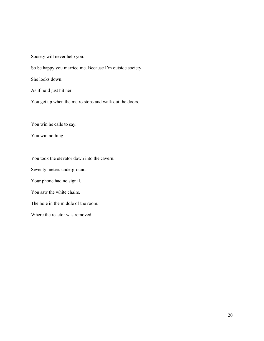Society will never help you.

So be happy you married me. Because I'm outside society.

She looks down.

As if he'd just hit her.

You get up when the metro stops and walk out the doors.

You win he calls to say.

You win nothing.

You took the elevator down into the cavern.

Seventy meters underground.

Your phone had no signal.

You saw the white chairs.

The hole in the middle of the room.

Where the reactor was removed.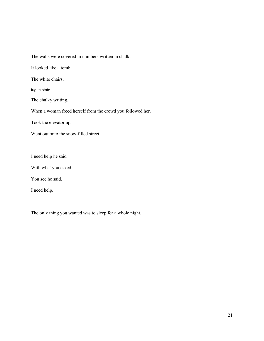The walls were covered in numbers written in chalk.

It looked like a tomb.

The white chairs.

fugue state

The chalky writing.

When a woman freed herself from the crowd you followed her.

Took the elevator up.

Went out onto the snow-filled street.

I need help he said.

With what you asked.

You see he said.

I need help.

The only thing you wanted was to sleep for a whole night.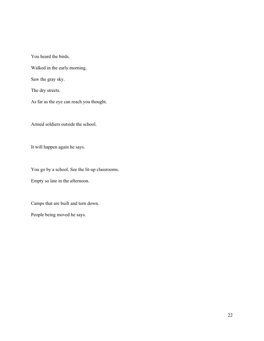You heard the birds.

Walked in the early morning.

Saw the gray sky.

The dry streets.

As far as the eye can reach you thought.

Armed soldiers outside the school.

It will happen again he says.

You go by a school. See the lit-up classrooms.

Empty so late in the afternoon.

Camps that are built and torn down.

People being moved he says.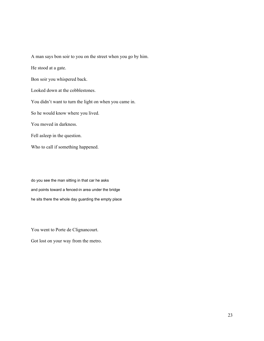He stood at a gate. Bon soir you whispered back. Looked down at the cobblestones. You didn't want to turn the light on when you came in. So he would know where you lived. You moved in darkness. Fell asleep in the question. Who to call if something happened.

A man says bon soir to you on the street when you go by him.

do you see the man sitting in that car he asks and points toward a fenced-in area under the bridge he sits there the whole day guarding the empty place

You went to Porte de Clignancourt.

Got lost on your way from the metro.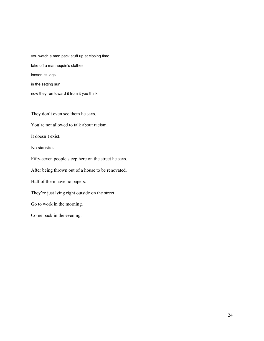you watch a man pack stuff up at closing time take off a mannequin's clothes loosen its legs in the setting sun now they run toward it from it you think

They don't even see them he says.

You're not allowed to talk about racism.

It doesn't exist.

No statistics.

Fifty-seven people sleep here on the street he says.

After being thrown out of a house to be renovated.

Half of them have no papers.

They're just lying right outside on the street.

Go to work in the morning.

Come back in the evening.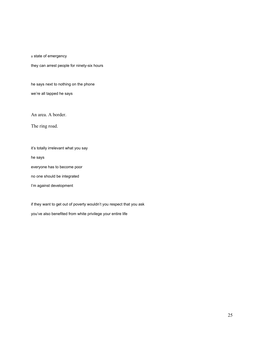a state of emergency

they can arrest people for ninety-six hours

he says next to nothing on the phone

we're all tapped he says

An area. A border.

The ring road.

it's totally irrelevant what you say

he says

everyone has to become poor

no one should be integrated

I'm against development

if they want to get out of poverty wouldn't you respect that you ask

you've also benefited from white privilege your entire life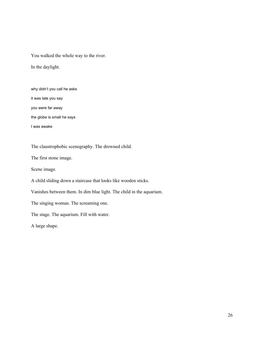You walked the whole way to the river.

In the daylight.

why didn't you call he asks

it was late you say

you were far away

the globe is small he says

I was awake

The claustrophobic scenography. The drowned child.

The first stone image.

Scene image.

A child sliding down a staircase that looks like wooden sticks.

Vanishes between them. In dim blue light. The child in the aquarium.

The singing woman. The screaming one.

The stage. The aquarium. Fill with water.

A large shape.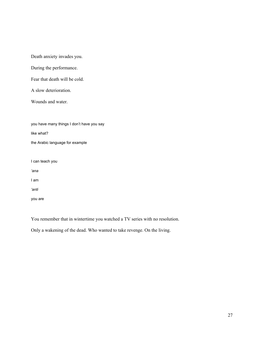Death anxiety invades you.

During the performance.

Fear that death will be cold.

A slow deterioration.

Wounds and water.

you have many things I don't have you say like what?

the Arabic language for example

I can teach you

*'ana*

I am

*'anti*

you are

You remember that in wintertime you watched a TV series with no resolution.

Only a wakening of the dead. Who wanted to take revenge. On the living.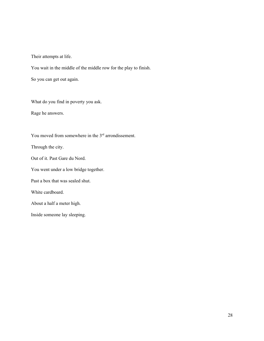Their attempts at life.

You wait in the middle of the middle row for the play to finish.

So you can get out again.

What do you find in poverty you ask.

Rage he answers.

You moved from somewhere in the 3<sup>rd</sup> arrondissement.

Through the city.

Out of it. Past Gare du Nord.

You went under a low bridge together.

Past a box that was sealed shut.

White cardboard.

About a half a meter high.

Inside someone lay sleeping.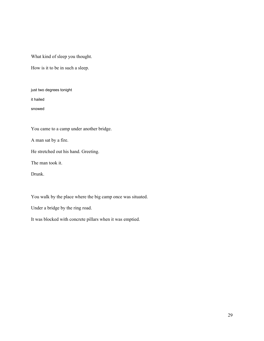What kind of sleep you thought.

How is it to be in such a sleep.

just two degrees tonight

it hailed

snowed

You came to a camp under another bridge.

A man sat by a fire.

He stretched out his hand. Greeting.

The man took it.

Drunk.

You walk by the place where the big camp once was situated.

Under a bridge by the ring road.

It was blocked with concrete pillars when it was emptied.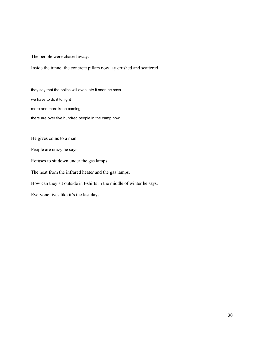The people were chased away.

Inside the tunnel the concrete pillars now lay crushed and scattered.

they say that the police will evacuate it soon he says we have to do it tonight more and more keep coming there are over five hundred people in the camp now

He gives coins to a man.

People are crazy he says.

Refuses to sit down under the gas lamps.

The heat from the infrared heater and the gas lamps.

How can they sit outside in t-shirts in the middle of winter he says.

Everyone lives like it's the last days.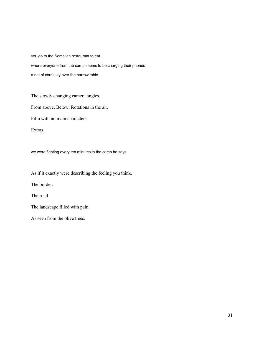you go to the Somalian restaurant to eat where everyone from the camp seems to be charging their phones a net of cords lay over the narrow table

The slowly changing camera angles.

From above. Below. Rotations in the air.

Film with no main characters.

Extras.

we were fighting every ten minutes in the camp he says

As if it exactly were describing the feeling you think.

The border.

The road.

The landscape filled with pain.

As seen from the olive trees.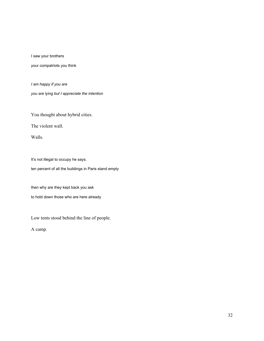I saw your brothers

your compatriots you think

*I am happy if you are*

*you are lying but I appreciate the intention*

You thought about hybrid cities.

The violent wall.

Walls.

It's not illegal to occupy he says. ten percent of all the buildings in Paris stand empty

then why are they kept back you ask

to hold down those who are here already

Low tents stood behind the line of people.

A camp.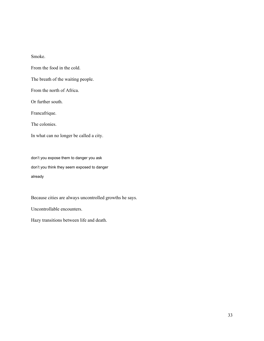Smoke.

From the food in the cold.

The breath of the waiting people.

From the north of Africa.

Or further south.

Francafrique.

The colonies.

In what can no longer be called a city.

don't you expose them to danger you ask don't you think they seem exposed to danger already

Because cities are always uncontrolled growths he says.

Uncontrollable encounters.

Hazy transitions between life and death.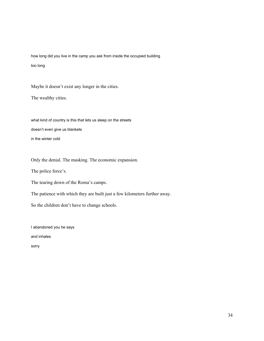how long did you live in the camp you ask from inside the occupied building too long

Maybe it doesn't exist any longer in the cities.

The wealthy cities.

what kind of country is this that lets us sleep on the streets doesn't even give us blankets in the winter cold

Only the denial. The masking. The economic expansion.

The police force's.

The tearing down of the Roma's camps.

The patience with which they are built just a few kilometers further away.

So the children don't have to change schools.

I abandoned you he says

and inhales

sorry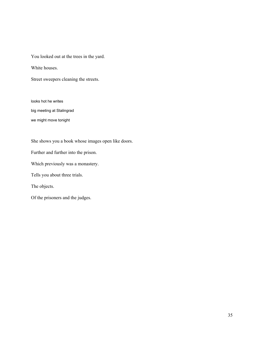You looked out at the trees in the yard.

White houses.

Street sweepers cleaning the streets.

looks hot he writes

big meeting at Stalingrad

we might move tonight

She shows you a book whose images open like doors.

Further and further into the prison.

Which previously was a monastery.

Tells you about three trials.

The objects.

Of the prisoners and the judges.